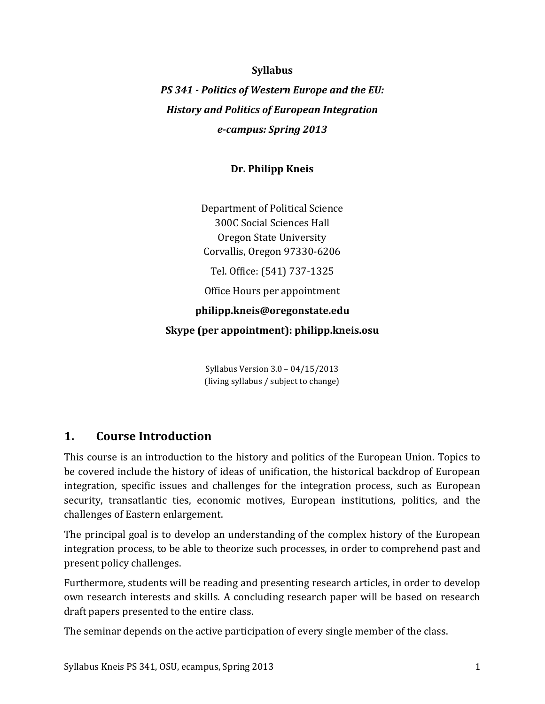## **Syllabus**

*PS 341 - Politics of Western Europe and the EU: History and Politics of European Integration e-campus: Spring 2013*

## **Dr. Philipp Kneis**

Department of Political Science 300C Social Sciences Hall Oregon State University Corvallis, Oregon 97330-6206

Tel. Office: (541) 737-1325

Office Hours per appointment

## **philipp.kneis@oregonstate.edu**

**Skype (per appointment): philipp.kneis.osu**

Syllabus Version 3.0 – 04/15/2013 (living syllabus / subject to change)

# **1. Course Introduction**

This course is an introduction to the history and politics of the European Union. Topics to be covered include the history of ideas of unification, the historical backdrop of European integration, specific issues and challenges for the integration process, such as European security, transatlantic ties, economic motives, European institutions, politics, and the challenges of Eastern enlargement.

The principal goal is to develop an understanding of the complex history of the European integration process, to be able to theorize such processes, in order to comprehend past and present policy challenges.

Furthermore, students will be reading and presenting research articles, in order to develop own research interests and skills. A concluding research paper will be based on research draft papers presented to the entire class.

The seminar depends on the active participation of every single member of the class.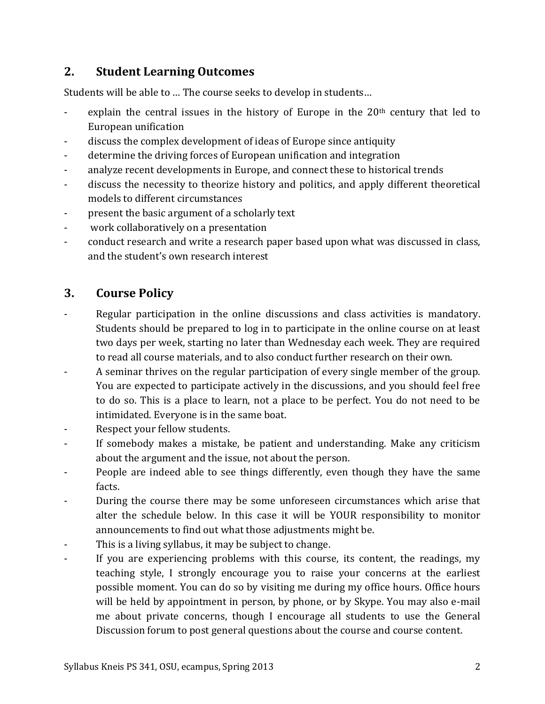# **2. Student Learning Outcomes**

Students will be able to … The course seeks to develop in students…

- explain the central issues in the history of Europe in the  $20<sup>th</sup>$  century that led to European unification
- discuss the complex development of ideas of Europe since antiquity
- determine the driving forces of European unification and integration
- analyze recent developments in Europe, and connect these to historical trends
- discuss the necessity to theorize history and politics, and apply different theoretical models to different circumstances
- present the basic argument of a scholarly text
- work collaboratively on a presentation
- conduct research and write a research paper based upon what was discussed in class, and the student's own research interest

# **3. Course Policy**

- Regular participation in the online discussions and class activities is mandatory. Students should be prepared to log in to participate in the online course on at least two days per week, starting no later than Wednesday each week. They are required to read all course materials, and to also conduct further research on their own.
- A seminar thrives on the regular participation of every single member of the group. You are expected to participate actively in the discussions, and you should feel free to do so. This is a place to learn, not a place to be perfect. You do not need to be intimidated. Everyone is in the same boat.
- Respect your fellow students.
- If somebody makes a mistake, be patient and understanding. Make any criticism about the argument and the issue, not about the person.
- People are indeed able to see things differently, even though they have the same facts.
- During the course there may be some unforeseen circumstances which arise that alter the schedule below. In this case it will be YOUR responsibility to monitor announcements to find out what those adjustments might be.
- This is a living syllabus, it may be subject to change.
- If you are experiencing problems with this course, its content, the readings, my teaching style, I strongly encourage you to raise your concerns at the earliest possible moment. You can do so by visiting me during my office hours. Office hours will be held by appointment in person, by phone, or by Skype. You may also e-mail me about private concerns, though I encourage all students to use the General Discussion forum to post general questions about the course and course content.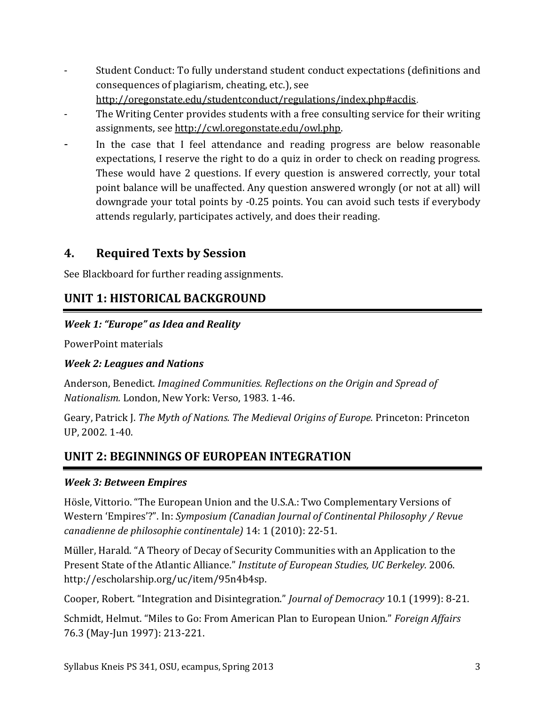- Student Conduct: To fully understand student conduct expectations (definitions and consequences of plagiarism, cheating, etc.), see

<http://oregonstate.edu/studentconduct/regulations/index.php#acdis>.

- The Writing Center provides students with a free consulting service for their writing assignments, see [http://cwl.oregonstate.edu/owl.php.](http://cwl.oregonstate.edu/owl.php)
- In the case that I feel attendance and reading progress are below reasonable expectations, I reserve the right to do a quiz in order to check on reading progress. These would have 2 questions. If every question is answered correctly, your total point balance will be unaffected. Any question answered wrongly (or not at all) will downgrade your total points by -0.25 points. You can avoid such tests if everybody attends regularly, participates actively, and does their reading.

# **4. Required Texts by Session**

See Blackboard for further reading assignments.

# **UNIT 1: HISTORICAL BACKGROUND**

# *Week 1: "Europe" as Idea and Reality*

PowerPoint materials

# *Week 2: Leagues and Nations*

Anderson, Benedict. *Imagined Communities. Reflections on the Origin and Spread of Nationalism.* London, New York: Verso, 1983. 1-46.

Geary, Patrick J. *The Myth of Nations. The Medieval Origins of Europe.* Princeton: Princeton UP, 2002. 1-40.

# **UNIT 2: BEGINNINGS OF EUROPEAN INTEGRATION**

# *Week 3: Between Empires*

Hösle, Vittorio. "The European Union and the U.S.A.: Two Complementary Versions of Western 'Empires'?". In: *Symposium (Canadian Journal of Continental Philosophy / Revue canadienne de philosophie continentale)* 14: 1 (2010): 22-51.

Müller, Harald. "A Theory of Decay of Security Communities with an Application to the Present State of the Atlantic Alliance." *Institute of European Studies, UC Berkeley.* 2006. http://escholarship.org/uc/item/95n4b4sp.

Cooper, Robert. "Integration and Disintegration." *Journal of Democracy* 10.1 (1999): 8-21.

Schmidt, Helmut. "Miles to Go: From American Plan to European Union." *Foreign Affairs* 76.3 (May-Jun 1997): 213-221.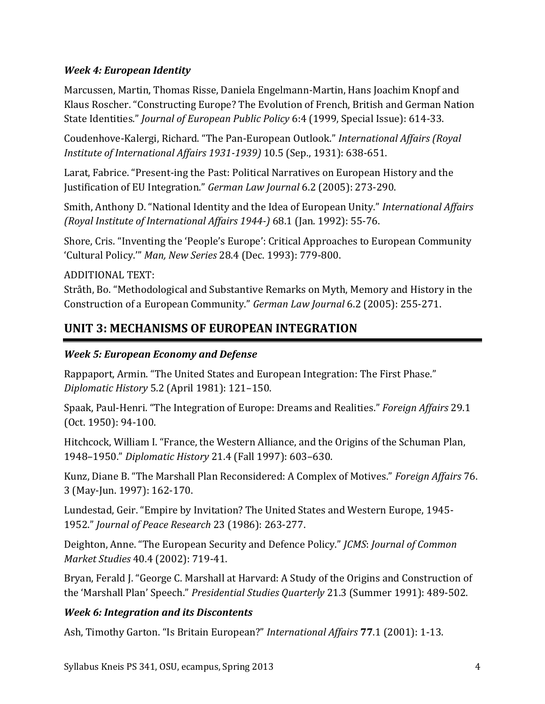# *Week 4: European Identity*

Marcussen, Martin, Thomas Risse, Daniela Engelmann-Martin, Hans Joachim Knopf and Klaus Roscher. "Constructing Europe? The Evolution of French, British and German Nation State Identities." *Journal of European Public Policy* 6:4 (1999, Special Issue): 614-33.

Coudenhove-Kalergi, Richard. "The Pan-European Outlook." *International Affairs (Royal Institute of International Affairs 1931-1939)* 10.5 (Sep., 1931): 638-651.

Larat, Fabrice. "Present-ing the Past: Political Narratives on European History and the Justification of EU Integration." *German Law Journal* 6.2 (2005): 273-290.

Smith, Anthony D. "National Identity and the Idea of European Unity." *International Affairs (Royal Institute of International Affairs 1944-)* 68.1 (Jan. 1992): 55-76.

Shore, Cris. "Inventing the 'People's Europe': Critical Approaches to European Community 'Cultural Policy.'" *Man, New Series* 28.4 (Dec. 1993): 779-800.

ADDITIONAL TEXT:

Stråth, Bo. "Methodological and Substantive Remarks on Myth, Memory and History in the Construction of a European Community." *German Law Journal* 6.2 (2005): 255-271.

# **UNIT 3: MECHANISMS OF EUROPEAN INTEGRATION**

# *Week 5: European Economy and Defense*

Rappaport, Armin. "The United States and European Integration: The First Phase." *Diplomatic History* 5.2 (April 1981): 121–150.

Spaak, Paul-Henri. "The Integration of Europe: Dreams and Realities." *Foreign Affairs* 29.1 (Oct. 1950): 94-100.

Hitchcock, William I. "France, the Western Alliance, and the Origins of the Schuman Plan, 1948–1950." *Diplomatic History* 21.4 (Fall 1997): 603–630.

Kunz, Diane B. "The Marshall Plan Reconsidered: A Complex of Motives." *Foreign Affairs* 76. 3 (May-Jun. 1997): 162-170.

Lundestad, Geir. "Empire by Invitation? The United States and Western Europe, 1945- 1952." *Journal of Peace Research* 23 (1986): 263-277.

Deighton, Anne. "The European Security and Defence Policy." *JCMS*: *Journal of Common Market Studies* 40.4 (2002): 719-41.

Bryan, Ferald J. "George C. Marshall at Harvard: A Study of the Origins and Construction of the 'Marshall Plan' Speech." *Presidential Studies Quarterly* 21.3 (Summer 1991): 489-502.

# *Week 6: Integration and its Discontents*

Ash, Timothy Garton. "Is Britain European?" *International Affairs* **77**.1 (2001): 1-13.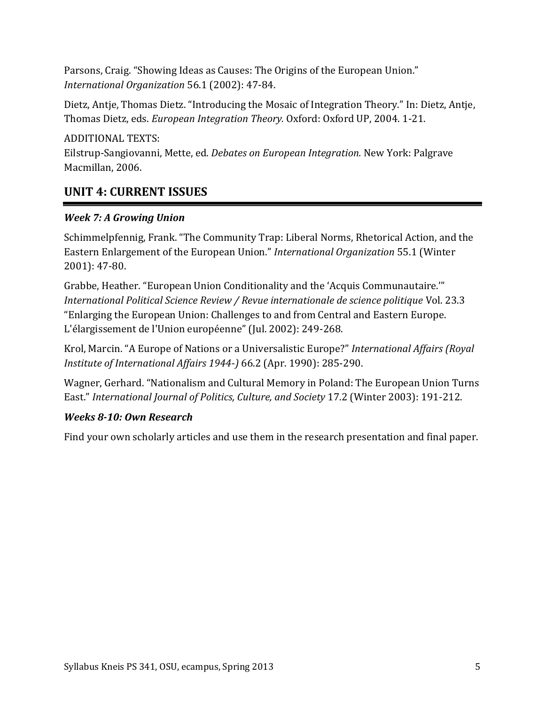Parsons, Craig. "Showing Ideas as Causes: The Origins of the European Union." *International Organization* 56.1 (2002): 47-84.

Dietz, Antje, Thomas Dietz. "Introducing the Mosaic of Integration Theory." In: Dietz, Antje, Thomas Dietz, eds. *European Integration Theory.* Oxford: Oxford UP, 2004. 1-21.

ADDITIONAL TEXTS:

Eilstrup-Sangiovanni, Mette, ed. *Debates on European Integration.* New York: Palgrave Macmillan, 2006.

# **UNIT 4: CURRENT ISSUES**

# *Week 7: A Growing Union*

Schimmelpfennig, Frank. "The Community Trap: Liberal Norms, Rhetorical Action, and the Eastern Enlargement of the European Union." *International Organization* 55.1 (Winter 2001): 47-80.

Grabbe, Heather. "European Union Conditionality and the 'Acquis Communautaire.'" *International Political Science Review / Revue internationale de science politique* Vol. 23.3 "Enlarging the European Union: Challenges to and from Central and Eastern Europe. L'élargissement de l'Union européenne" (Jul. 2002): 249-268.

Krol, Marcin. "A Europe of Nations or a Universalistic Europe?" *International Affairs (Royal Institute of International Affairs 1944-)* 66.2 (Apr. 1990): 285-290.

Wagner, Gerhard. "Nationalism and Cultural Memory in Poland: The European Union Turns East." *International Journal of Politics, Culture, and Society* 17.2 (Winter 2003): 191-212.

# *Weeks 8-10: Own Research*

Find your own scholarly articles and use them in the research presentation and final paper.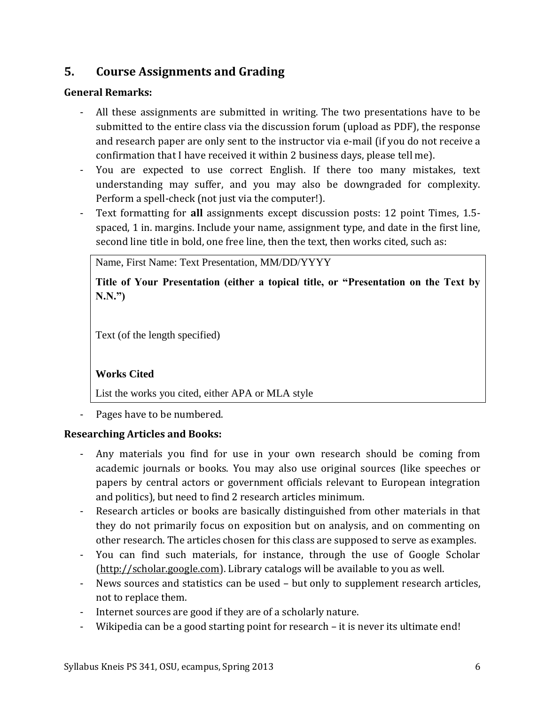# **5. Course Assignments and Grading**

# **General Remarks:**

- All these assignments are submitted in writing. The two presentations have to be submitted to the entire class via the discussion forum (upload as PDF), the response and research paper are only sent to the instructor via e-mail (if you do not receive a confirmation that I have received it within 2 business days, please tell me).
- You are expected to use correct English. If there too many mistakes, text understanding may suffer, and you may also be downgraded for complexity. Perform a spell-check (not just via the computer!).
- Text formatting for **all** assignments except discussion posts: 12 point Times, 1.5 spaced, 1 in. margins. Include your name, assignment type, and date in the first line, second line title in bold, one free line, then the text, then works cited, such as:

Name, First Name: Text Presentation, MM/DD/YYYY

**Title of Your Presentation (either a topical title, or "Presentation on the Text by N.N.")**

Text (of the length specified)

# **Works Cited**

List the works you cited, either APA or MLA style

Pages have to be numbered.

# **Researching Articles and Books:**

- Any materials you find for use in your own research should be coming from academic journals or books. You may also use original sources (like speeches or papers by central actors or government officials relevant to European integration and politics), but need to find 2 research articles minimum.
- Research articles or books are basically distinguished from other materials in that they do not primarily focus on exposition but on analysis, and on commenting on other research. The articles chosen for this class are supposed to serve as examples.
- You can find such materials, for instance, through the use of Google Scholar [\(http://scholar.google.com\)](http://scholar.google.com/). Library catalogs will be available to you as well.
- News sources and statistics can be used but only to supplement research articles, not to replace them.
- Internet sources are good if they are of a scholarly nature.
- Wikipedia can be a good starting point for research it is never its ultimate end!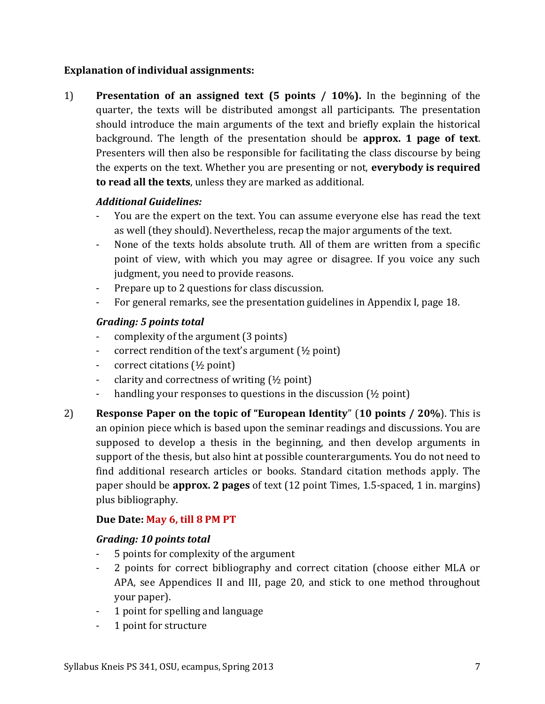## **Explanation of individual assignments:**

1) **Presentation of an assigned text (5 points / 10%).** In the beginning of the quarter, the texts will be distributed amongst all participants. The presentation should introduce the main arguments of the text and briefly explain the historical background. The length of the presentation should be **approx. 1 page of text**. Presenters will then also be responsible for facilitating the class discourse by being the experts on the text. Whether you are presenting or not, **everybody is required to read all the texts**, unless they are marked as additional.

## *Additional Guidelines:*

- You are the expert on the text. You can assume everyone else has read the text as well (they should). Nevertheless, recap the major arguments of the text.
- None of the texts holds absolute truth. All of them are written from a specific point of view, with which you may agree or disagree. If you voice any such judgment, you need to provide reasons.
- Prepare up to 2 questions for class discussion.
- For general remarks, see the presentation guidelines in Appendix I, page [18.](#page-17-0)

## *Grading: 5 points total*

- complexity of the argument (3 points)
- correct rendition of the text's argument (½ point)
- correct citations (½ point)
- clarity and correctness of writing  $(\frac{1}{2})$  point)
- handling your responses to questions in the discussion  $(½$  point)
- 2) **Response Paper on the topic of "European Identity**" (**10 points / 20%**). This is an opinion piece which is based upon the seminar readings and discussions. You are supposed to develop a thesis in the beginning, and then develop arguments in support of the thesis, but also hint at possible counterarguments. You do not need to find additional research articles or books. Standard citation methods apply. The paper should be **approx. 2 pages** of text (12 point Times, 1.5-spaced, 1 in. margins) plus bibliography.

# **Due Date: May 6, till 8 PM PT**

## *Grading: 10 points total*

- 5 points for complexity of the argument
- 2 points for correct bibliography and correct citation (choose either MLA or APA, see Appendices II and III, page [20,](#page-19-0) and stick to one method throughout your paper).
- 1 point for spelling and language
- 1 point for structure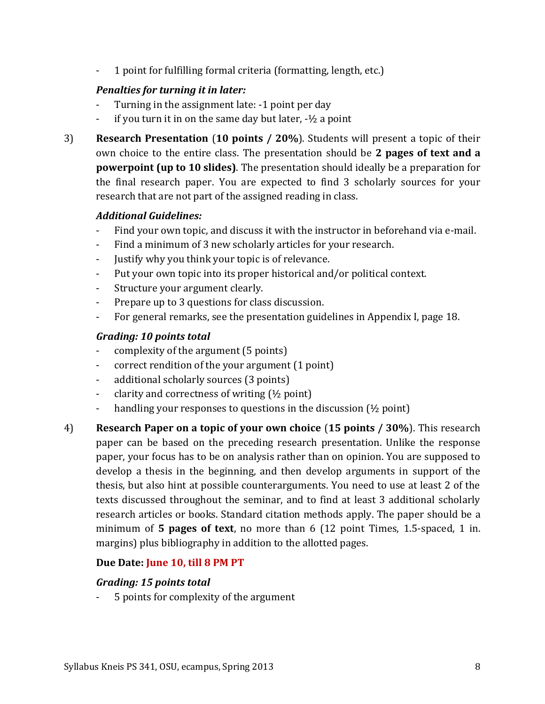- 1 point for fulfilling formal criteria (formatting, length, etc.)

## *Penalties for turning it in later:*

- Turning in the assignment late: -1 point per day
- if you turn it in on the same day but later,  $-\frac{1}{2}$  a point
- 3) **Research Presentation** (**10 points / 20%**). Students will present a topic of their own choice to the entire class. The presentation should be **2 pages of text and a powerpoint (up to 10 slides)**. The presentation should ideally be a preparation for the final research paper. You are expected to find 3 scholarly sources for your research that are not part of the assigned reading in class.

# *Additional Guidelines:*

- Find your own topic, and discuss it with the instructor in beforehand via e-mail.
- Find a minimum of 3 new scholarly articles for your research.
- Justify why you think your topic is of relevance.
- Put your own topic into its proper historical and/or political context.
- Structure your argument clearly.
- Prepare up to 3 questions for class discussion.
- For general remarks, see the presentation guidelines in Appendix I, page [18.](#page-17-0)

# *Grading: 10 points total*

- complexity of the argument (5 points)
- correct rendition of the your argument (1 point)
- additional scholarly sources (3 points)
- clarity and correctness of writing  $(\frac{1}{2}$  point)
- handling your responses to questions in the discussion  $(\frac{1}{2}$  point)
- 4) **Research Paper on a topic of your own choice** (**15 points / 30%**). This research paper can be based on the preceding research presentation. Unlike the response paper, your focus has to be on analysis rather than on opinion. You are supposed to develop a thesis in the beginning, and then develop arguments in support of the thesis, but also hint at possible counterarguments. You need to use at least 2 of the texts discussed throughout the seminar, and to find at least 3 additional scholarly research articles or books. Standard citation methods apply. The paper should be a minimum of **5 pages of text**, no more than 6 (12 point Times, 1.5-spaced, 1 in. margins) plus bibliography in addition to the allotted pages.

# **Due Date: June 10, till 8 PM PT**

# *Grading: 15 points total*

- 5 points for complexity of the argument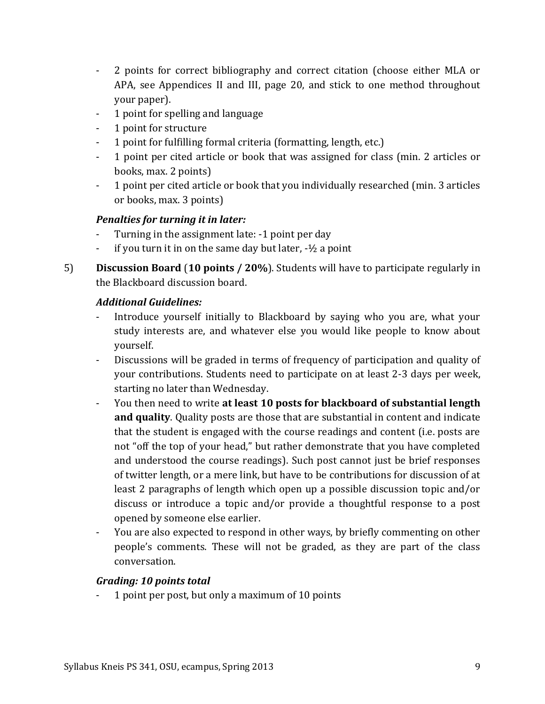- 2 points for correct bibliography and correct citation (choose either MLA or APA, see Appendices II and III, page [20,](#page-19-0) and stick to one method throughout your paper).
- 1 point for spelling and language
- 1 point for structure
- 1 point for fulfilling formal criteria (formatting, length, etc.)
- 1 point per cited article or book that was assigned for class (min. 2 articles or books, max. 2 points)
- 1 point per cited article or book that you individually researched (min. 3 articles or books, max. 3 points)

## *Penalties for turning it in later:*

- Turning in the assignment late: -1 point per day
- if you turn it in on the same day but later,  $-\frac{1}{2}$  a point
- 5) **Discussion Board** (**10 points / 20%**). Students will have to participate regularly in the Blackboard discussion board.

## *Additional Guidelines:*

- Introduce yourself initially to Blackboard by saying who you are, what your study interests are, and whatever else you would like people to know about yourself.
- Discussions will be graded in terms of frequency of participation and quality of your contributions. Students need to participate on at least 2-3 days per week, starting no later than Wednesday.
- You then need to write **at least 10 posts for blackboard of substantial length and quality**. Quality posts are those that are substantial in content and indicate that the student is engaged with the course readings and content (i.e. posts are not "off the top of your head," but rather demonstrate that you have completed and understood the course readings). Such post cannot just be brief responses of twitter length, or a mere link, but have to be contributions for discussion of at least 2 paragraphs of length which open up a possible discussion topic and/or discuss or introduce a topic and/or provide a thoughtful response to a post opened by someone else earlier.
- You are also expected to respond in other ways, by briefly commenting on other people's comments. These will not be graded, as they are part of the class conversation.

## *Grading: 10 points total*

- 1 point per post, but only a maximum of 10 points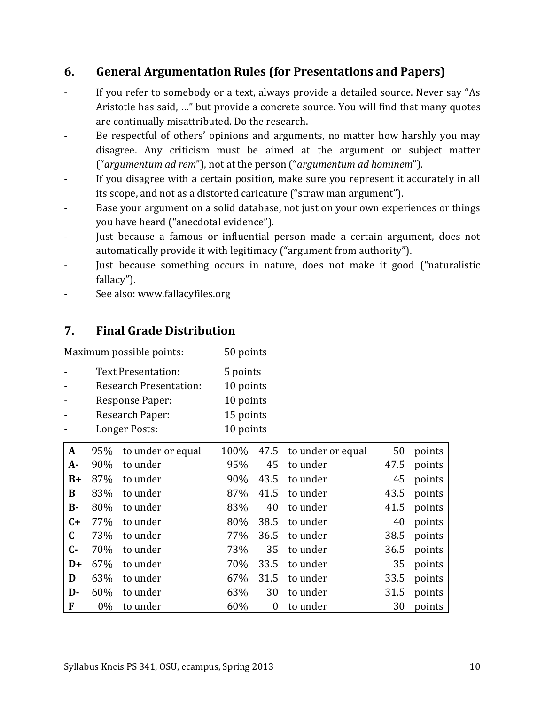# **6. General Argumentation Rules (for Presentations and Papers)**

- If you refer to somebody or a text, always provide a detailed source. Never say "As Aristotle has said, …" but provide a concrete source. You will find that many quotes are continually misattributed. Do the research.
- Be respectful of others' opinions and arguments, no matter how harshly you may disagree. Any criticism must be aimed at the argument or subject matter ("*argumentum ad rem*"), not at the person ("*argumentum ad hominem*").
- If you disagree with a certain position, make sure you represent it accurately in all its scope, and not as a distorted caricature ("straw man argument").
- Base your argument on a solid database, not just on your own experiences or things you have heard ("anecdotal evidence").
- Just because a famous or influential person made a certain argument, does not automatically provide it with legitimacy ("argument from authority").
- Just because something occurs in nature, does not make it good ("naturalistic fallacy").
- See also: www.fallacyfiles.org

# **7. Final Grade Distribution**

Maximum possible points: 50 points

- Text Presentation: 5 points
- Research Presentation: 10 points
- Response Paper: 10 points
- Research Paper: 15 points - Longer Posts: 10 points

| $\mathbf{A}$ | 95%   | to under or equal | 100% | 47.5           | to under or equal | 50   | points |
|--------------|-------|-------------------|------|----------------|-------------------|------|--------|
| $A-$         | 90%   | to under          | 95%  | 45             | to under          | 47.5 | points |
| $B+$         | 87%   | to under          | 90%  | 43.5           | to under          | 45   | points |
| B            | 83%   | to under          | 87%  | 41.5           | to under          | 43.5 | points |
| $B -$        | 80%   | to under          | 83%  | 40             | to under          | 41.5 | points |
| $C+$         | 77%   | to under          | 80%  | 38.5           | to under          | 40   | points |
| $\mathbf C$  | 73%   | to under          | 77%  | 36.5           | to under          | 38.5 | points |
| $C -$        | 70%   | to under          | 73%  | 35             | to under          | 36.5 | points |
| $D+$         | 67%   | to under          | 70%  | 33.5           | to under          | 35   | points |
| D            | 63%   | to under          | 67%  | 31.5           | to under          | 33.5 | points |
| D-           | 60%   | to under          | 63%  | 30             | to under          | 31.5 | points |
| F            | $0\%$ | to under          | 60%  | $\overline{0}$ | to under          | 30   | points |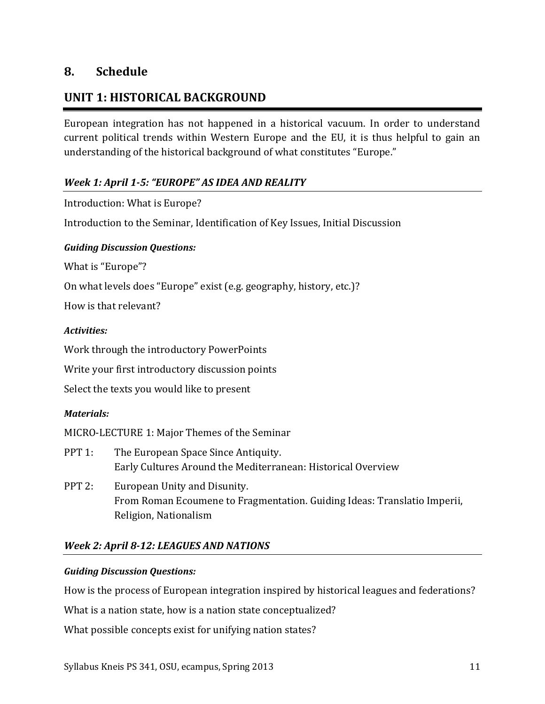# **8. Schedule**

# **UNIT 1: HISTORICAL BACKGROUND**

European integration has not happened in a historical vacuum. In order to understand current political trends within Western Europe and the EU, it is thus helpful to gain an understanding of the historical background of what constitutes "Europe."

## *Week 1: April 1-5: "EUROPE" AS IDEA AND REALITY*

Introduction: What is Europe?

Introduction to the Seminar, Identification of Key Issues, Initial Discussion

#### *Guiding Discussion Questions:*

What is "Europe"?

On what levels does "Europe" exist (e.g. geography, history, etc.)?

How is that relevant?

#### *Activities:*

Work through the introductory PowerPoints

Write your first introductory discussion points

Select the texts you would like to present

#### *Materials:*

MICRO-LECTURE 1: Major Themes of the Seminar

- PPT 1: The European Space Since Antiquity. Early Cultures Around the Mediterranean: Historical Overview
- PPT 2: European Unity and Disunity. From Roman Ecoumene to Fragmentation. Guiding Ideas: Translatio Imperii, Religion, Nationalism

# *Week 2: April 8-12: LEAGUES AND NATIONS*

#### *Guiding Discussion Questions:*

How is the process of European integration inspired by historical leagues and federations?

What is a nation state, how is a nation state conceptualized?

What possible concepts exist for unifying nation states?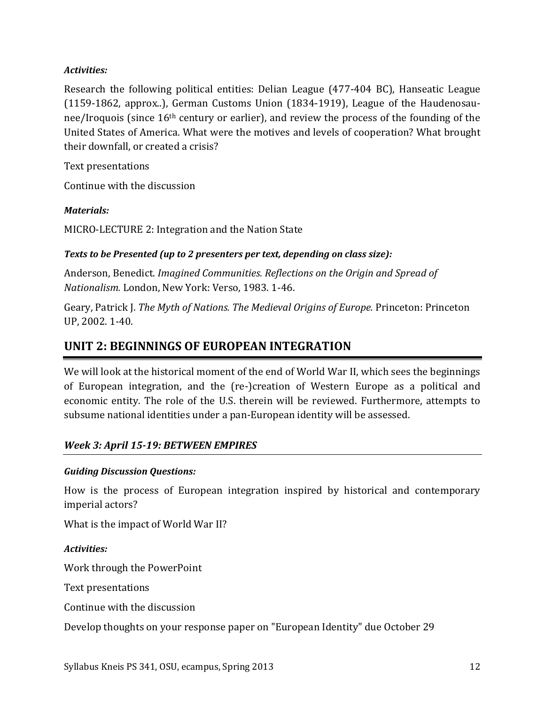## *Activities:*

Research the following political entities: Delian League (477-404 BC), Hanseatic League (1159-1862, approx..), German Customs Union (1834-1919), League of the Haudenosaunee/Iroquois (since 16th century or earlier), and review the process of the founding of the United States of America. What were the motives and levels of cooperation? What brought their downfall, or created a crisis?

Text presentations

Continue with the discussion

## *Materials:*

MICRO-LECTURE 2: Integration and the Nation State

## *Texts to be Presented (up to 2 presenters per text, depending on class size):*

Anderson, Benedict. *Imagined Communities. Reflections on the Origin and Spread of Nationalism.* London, New York: Verso, 1983. 1-46.

Geary, Patrick J. *The Myth of Nations. The Medieval Origins of Europe.* Princeton: Princeton UP, 2002. 1-40.

# **UNIT 2: BEGINNINGS OF EUROPEAN INTEGRATION**

We will look at the historical moment of the end of World War II, which sees the beginnings of European integration, and the (re-)creation of Western Europe as a political and economic entity. The role of the U.S. therein will be reviewed. Furthermore, attempts to subsume national identities under a pan-European identity will be assessed.

# *Week 3: April 15-19: BETWEEN EMPIRES*

## *Guiding Discussion Questions:*

How is the process of European integration inspired by historical and contemporary imperial actors?

What is the impact of World War II?

## *Activities:*

Work through the PowerPoint

Text presentations

Continue with the discussion

Develop thoughts on your response paper on "European Identity" due October 29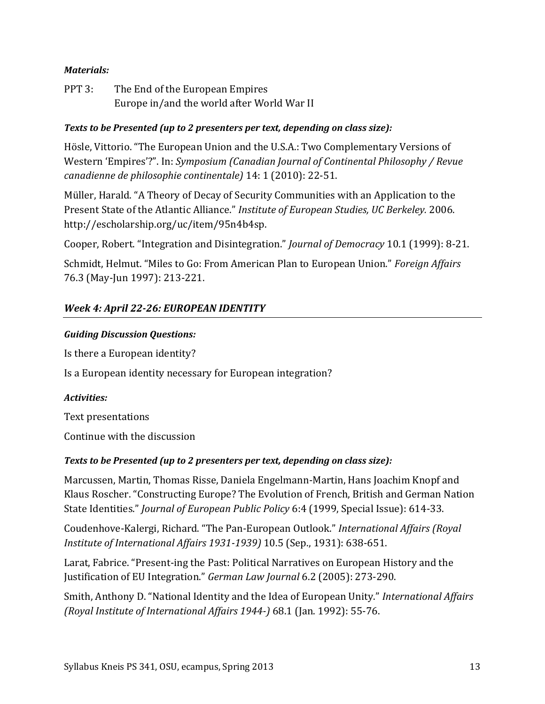## *Materials:*

PPT 3: The End of the European Empires Europe in/and the world after World War II

### *Texts to be Presented (up to 2 presenters per text, depending on class size):*

Hösle, Vittorio. "The European Union and the U.S.A.: Two Complementary Versions of Western 'Empires'?". In: *Symposium (Canadian Journal of Continental Philosophy / Revue canadienne de philosophie continentale)* 14: 1 (2010): 22-51.

Müller, Harald. "A Theory of Decay of Security Communities with an Application to the Present State of the Atlantic Alliance." *Institute of European Studies, UC Berkeley.* 2006. http://escholarship.org/uc/item/95n4b4sp.

Cooper, Robert. "Integration and Disintegration." *Journal of Democracy* 10.1 (1999): 8-21.

Schmidt, Helmut. "Miles to Go: From American Plan to European Union." *Foreign Affairs* 76.3 (May-Jun 1997): 213-221.

# *Week 4: April 22-26: EUROPEAN IDENTITY*

#### *Guiding Discussion Questions:*

Is there a European identity?

Is a European identity necessary for European integration?

#### *Activities:*

Text presentations

Continue with the discussion

## *Texts to be Presented (up to 2 presenters per text, depending on class size):*

Marcussen, Martin, Thomas Risse, Daniela Engelmann-Martin, Hans Joachim Knopf and Klaus Roscher. "Constructing Europe? The Evolution of French, British and German Nation State Identities." *Journal of European Public Policy* 6:4 (1999, Special Issue): 614-33.

Coudenhove-Kalergi, Richard. "The Pan-European Outlook." *International Affairs (Royal Institute of International Affairs 1931-1939)* 10.5 (Sep., 1931): 638-651.

Larat, Fabrice. "Present-ing the Past: Political Narratives on European History and the Justification of EU Integration." *German Law Journal* 6.2 (2005): 273-290.

Smith, Anthony D. "National Identity and the Idea of European Unity." *International Affairs (Royal Institute of International Affairs 1944-)* 68.1 (Jan. 1992): 55-76.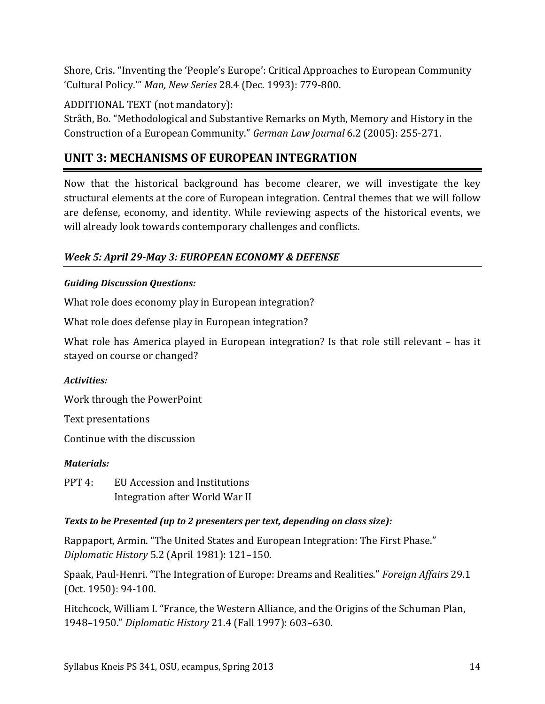Shore, Cris. "Inventing the 'People's Europe': Critical Approaches to European Community 'Cultural Policy.'" *Man, New Series* 28.4 (Dec. 1993): 779-800.

ADDITIONAL TEXT (not mandatory):

Stråth, Bo. "Methodological and Substantive Remarks on Myth, Memory and History in the Construction of a European Community." *German Law Journal* 6.2 (2005): 255-271.

# **UNIT 3: MECHANISMS OF EUROPEAN INTEGRATION**

Now that the historical background has become clearer, we will investigate the key structural elements at the core of European integration. Central themes that we will follow are defense, economy, and identity. While reviewing aspects of the historical events, we will already look towards contemporary challenges and conflicts.

# *Week 5: April 29-May 3: EUROPEAN ECONOMY & DEFENSE*

# *Guiding Discussion Questions:*

What role does economy play in European integration?

What role does defense play in European integration?

What role has America played in European integration? Is that role still relevant – has it stayed on course or changed?

# *Activities:*

Work through the PowerPoint

Text presentations

Continue with the discussion

# *Materials:*

PPT 4: EU Accession and Institutions Integration after World War II

# *Texts to be Presented (up to 2 presenters per text, depending on class size):*

Rappaport, Armin. "The United States and European Integration: The First Phase." *Diplomatic History* 5.2 (April 1981): 121–150.

Spaak, Paul-Henri. "The Integration of Europe: Dreams and Realities." *Foreign Affairs* 29.1 (Oct. 1950): 94-100.

Hitchcock, William I. "France, the Western Alliance, and the Origins of the Schuman Plan, 1948–1950." *Diplomatic History* 21.4 (Fall 1997): 603–630.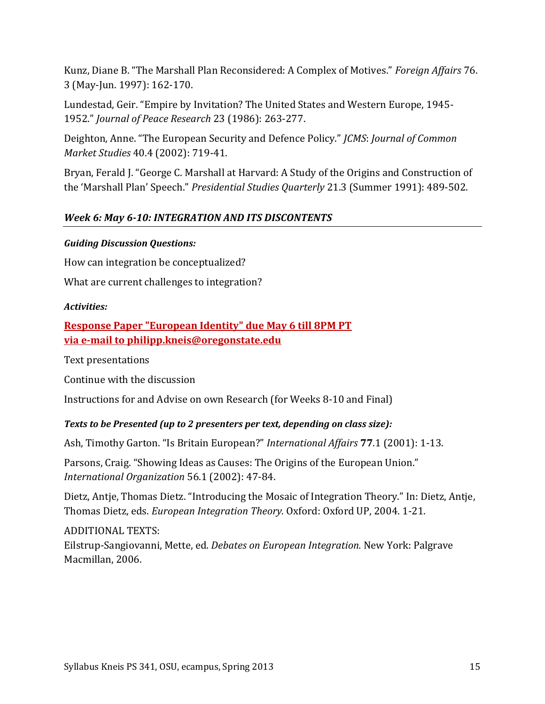Kunz, Diane B. "The Marshall Plan Reconsidered: A Complex of Motives." *Foreign Affairs* 76. 3 (May-Jun. 1997): 162-170.

Lundestad, Geir. "Empire by Invitation? The United States and Western Europe, 1945- 1952." *Journal of Peace Research* 23 (1986): 263-277.

Deighton, Anne. "The European Security and Defence Policy." *JCMS*: *Journal of Common Market Studies* 40.4 (2002): 719-41.

Bryan, Ferald J. "George C. Marshall at Harvard: A Study of the Origins and Construction of the 'Marshall Plan' Speech." *Presidential Studies Quarterly* 21.3 (Summer 1991): 489-502.

# *Week 6: May 6-10: INTEGRATION AND ITS DISCONTENTS*

## *Guiding Discussion Questions:*

How can integration be conceptualized?

What are current challenges to integration?

## *Activities:*

**Response Paper "European Identity" due May 6 till 8PM PT via e-mail to philipp.kneis@oregonstate.edu**

Text presentations

Continue with the discussion

Instructions for and Advise on own Research (for Weeks 8-10 and Final)

# *Texts to be Presented (up to 2 presenters per text, depending on class size):*

Ash, Timothy Garton. "Is Britain European?" *International Affairs* **77**.1 (2001): 1-13.

Parsons, Craig. "Showing Ideas as Causes: The Origins of the European Union." *International Organization* 56.1 (2002): 47-84.

Dietz, Antje, Thomas Dietz. "Introducing the Mosaic of Integration Theory." In: Dietz, Antje, Thomas Dietz, eds. *European Integration Theory.* Oxford: Oxford UP, 2004. 1-21.

ADDITIONAL TEXTS: Eilstrup-Sangiovanni, Mette, ed. *Debates on European Integration.* New York: Palgrave Macmillan, 2006.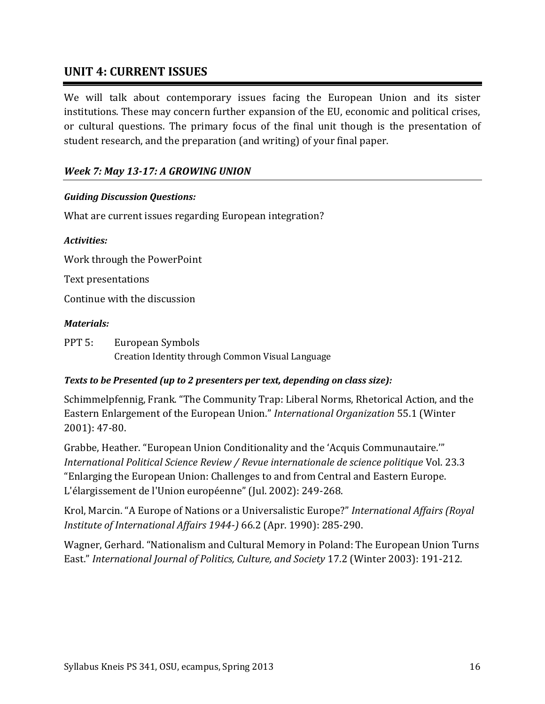# **UNIT 4: CURRENT ISSUES**

We will talk about contemporary issues facing the European Union and its sister institutions. These may concern further expansion of the EU, economic and political crises, or cultural questions. The primary focus of the final unit though is the presentation of student research, and the preparation (and writing) of your final paper.

# *Week 7: May 13-17: A GROWING UNION*

## *Guiding Discussion Questions:*

What are current issues regarding European integration?

#### *Activities:*

Work through the PowerPoint

Text presentations

Continue with the discussion

#### *Materials:*

PPT 5: European Symbols Creation Identity through Common Visual Language

## *Texts to be Presented (up to 2 presenters per text, depending on class size):*

Schimmelpfennig, Frank. "The Community Trap: Liberal Norms, Rhetorical Action, and the Eastern Enlargement of the European Union." *International Organization* 55.1 (Winter 2001): 47-80.

Grabbe, Heather. "European Union Conditionality and the 'Acquis Communautaire.'" *International Political Science Review / Revue internationale de science politique* Vol. 23.3 "Enlarging the European Union: Challenges to and from Central and Eastern Europe. L'élargissement de l'Union européenne" (Jul. 2002): 249-268.

Krol, Marcin. "A Europe of Nations or a Universalistic Europe?" *International Affairs (Royal Institute of International Affairs 1944-)* 66.2 (Apr. 1990): 285-290.

Wagner, Gerhard. "Nationalism and Cultural Memory in Poland: The European Union Turns East." *International Journal of Politics, Culture, and Society* 17.2 (Winter 2003): 191-212.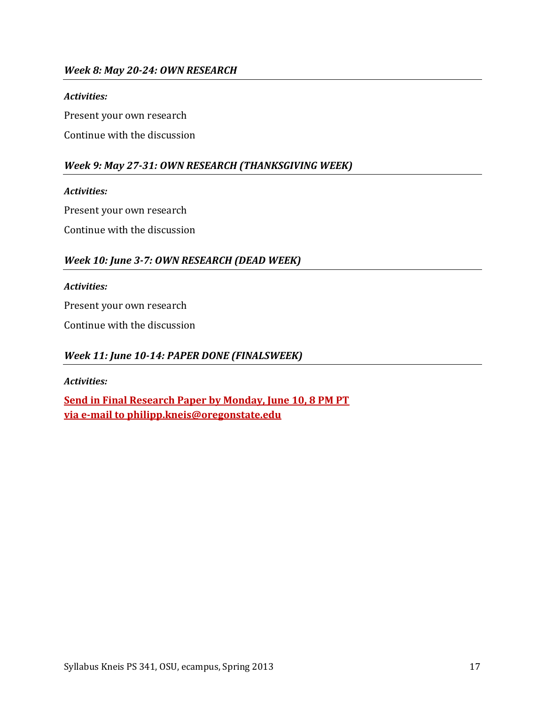## *Week 8: May 20-24: OWN RESEARCH*

#### *Activities:*

Present your own research

Continue with the discussion

## *Week 9: May 27-31: OWN RESEARCH (THANKSGIVING WEEK)*

#### *Activities:*

Present your own research

Continue with the discussion

## *Week 10: June 3-7: OWN RESEARCH (DEAD WEEK)*

#### *Activities:*

Present your own research

Continue with the discussion

## *Week 11: June 10-14: PAPER DONE (FINALSWEEK)*

*Activities:*

**Send in Final Research Paper by Monday, June 10, 8 PM PT via e-mail to philipp.kneis@oregonstate.edu**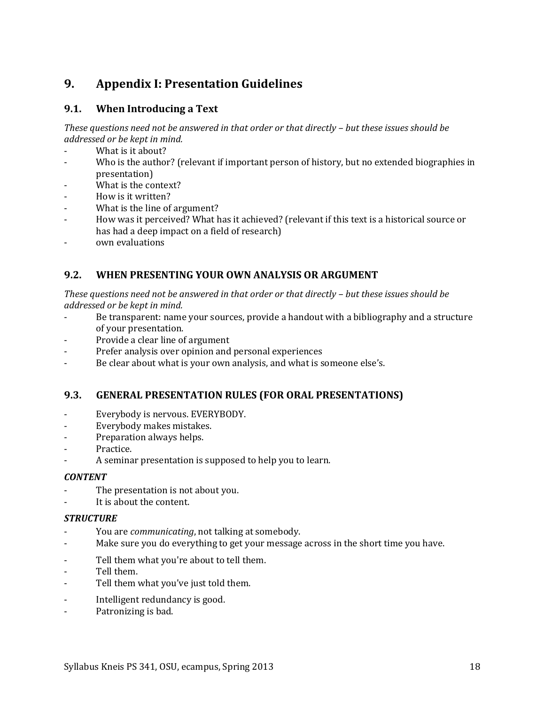# <span id="page-17-0"></span>**9. Appendix I: Presentation Guidelines**

## **9.1. When Introducing a Text**

*These questions need not be answered in that order or that directly – but these issues should be addressed or be kept in mind.*

- What is it about?
- Who is the author? (relevant if important person of history, but no extended biographies in presentation)
- What is the context?
- How is it written?
- What is the line of argument?
- How was it perceived? What has it achieved? (relevant if this text is a historical source or has had a deep impact on a field of research)
- own evaluations

## **9.2. WHEN PRESENTING YOUR OWN ANALYSIS OR ARGUMENT**

*These questions need not be answered in that order or that directly – but these issues should be addressed or be kept in mind.*

- Be transparent: name your sources, provide a handout with a bibliography and a structure of your presentation.
- Provide a clear line of argument
- Prefer analysis over opinion and personal experiences
- Be clear about what is your own analysis, and what is someone else's.

#### **9.3. GENERAL PRESENTATION RULES (FOR ORAL PRESENTATIONS)**

- Everybody is nervous. EVERYBODY.
- Everybody makes mistakes.
- Preparation always helps.
- Practice.
- A seminar presentation is supposed to help you to learn.

#### *CONTENT*

- The presentation is not about you.
- It is about the content.

#### *STRUCTURE*

- You are *communicating*, not talking at somebody.
- Make sure you do everything to get your message across in the short time you have.
- Tell them what you're about to tell them.
- Tell them.
- Tell them what you've just told them.
- Intelligent redundancy is good.
- Patronizing is bad.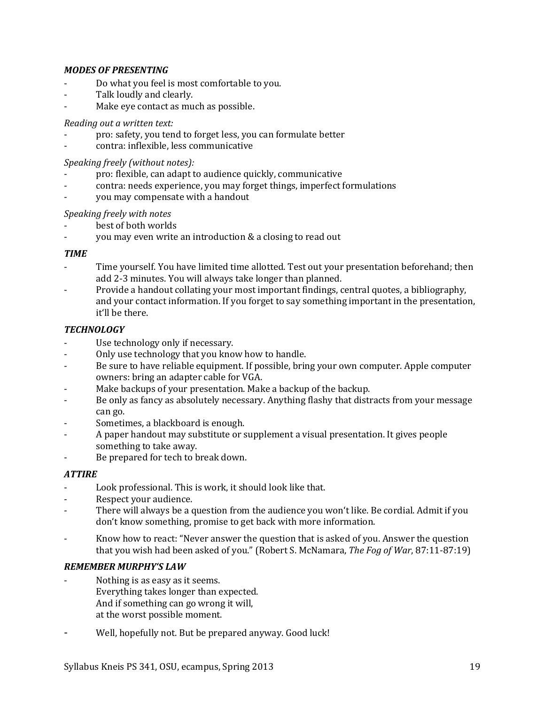#### *MODES OF PRESENTING*

- Do what you feel is most comfortable to you.
- Talk loudly and clearly.
- Make eye contact as much as possible.

#### *Reading out a written text:*

- pro: safety, you tend to forget less, you can formulate better
- contra: inflexible, less communicative

#### *Speaking freely (without notes):*

- pro: flexible, can adapt to audience quickly, communicative
- contra: needs experience, you may forget things, imperfect formulations
- you may compensate with a handout

#### *Speaking freely with notes*

- best of both worlds
- you may even write an introduction & a closing to read out

#### *TIME*

- Time yourself. You have limited time allotted. Test out your presentation beforehand; then add 2-3 minutes. You will always take longer than planned.
- Provide a handout collating your most important findings, central quotes, a bibliography, and your contact information. If you forget to say something important in the presentation, it'll be there.

#### *TECHNOLOGY*

- Use technology only if necessary.
- Only use technology that you know how to handle.
- Be sure to have reliable equipment. If possible, bring your own computer. Apple computer owners: bring an adapter cable for VGA.
- Make backups of your presentation. Make a backup of the backup.
- Be only as fancy as absolutely necessary. Anything flashy that distracts from your message can go.
- Sometimes, a blackboard is enough.
- A paper handout may substitute or supplement a visual presentation. It gives people something to take away.
- Be prepared for tech to break down.

## *ATTIRE*

- Look professional. This is work, it should look like that.
- Respect your audience.
- There will always be a question from the audience you won't like. Be cordial. Admit if you don't know something, promise to get back with more information.
- Know how to react: "Never answer the question that is asked of you. Answer the question that you wish had been asked of you." (Robert S. McNamara, *The Fog of War*, 87:11-87:19)

## *REMEMBER MURPHY'S LAW*

- Nothing is as easy as it seems. Everything takes longer than expected. And if something can go wrong it will, at the worst possible moment.
- Well, hopefully not. But be prepared anyway. Good luck!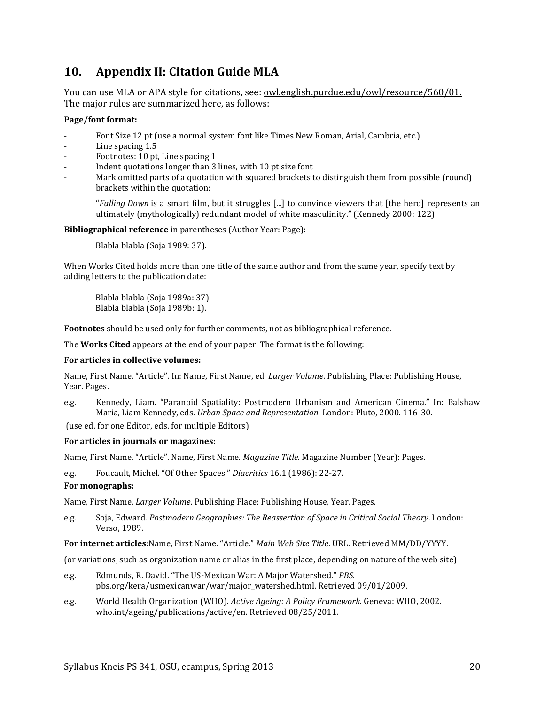# <span id="page-19-0"></span>**10. Appendix II: Citation Guide MLA**

You can use MLA or APA style for citations, see: <u>owl.english.purdue.edu/owl/resource/560/01.</u> The major rules are summarized here, as follows:

#### **Page/font format:**

- Font Size 12 pt (use a normal system font like Times New Roman, Arial, Cambria, etc.)
- Line spacing 1.5
- Footnotes: 10 pt, Line spacing 1
- Indent quotations longer than 3 lines, with 10 pt size font
- Mark omitted parts of a quotation with squared brackets to distinguish them from possible (round) brackets within the quotation:

"*Falling Down* is a smart film, but it struggles [...] to convince viewers that [the hero] represents an ultimately (mythologically) redundant model of white masculinity." (Kennedy 2000: 122)

**Bibliographical reference** in parentheses (Author Year: Page):

Blabla blabla (Soja 1989: 37).

When Works Cited holds more than one title of the same author and from the same year, specify text by adding letters to the publication date:

Blabla blabla (Soja 1989a: 37). Blabla blabla (Soja 1989b: 1).

**Footnotes** should be used only for further comments, not as bibliographical reference.

The **Works Cited** appears at the end of your paper. The format is the following:

#### **For articles in collective volumes:**

Name, First Name. "Article". In: Name, First Name, ed. *Larger Volume*. Publishing Place: Publishing House, Year. Pages.

e.g. Kennedy, Liam. "Paranoid Spatiality: Postmodern Urbanism and American Cinema." In: Balshaw Maria, Liam Kennedy, eds. *Urban Space and Representation.* London: Pluto, 2000. 116-30.

(use ed. for one Editor, eds. for multiple Editors)

#### **For articles in journals or magazines:**

Name, First Name. "Article". Name, First Name. *Magazine Title*. Magazine Number (Year): Pages.

e.g. Foucault, Michel. "Of Other Spaces." *Diacritics* 16.1 (1986): 22-27.

#### **For monographs:**

Name, First Name. *Larger Volume*. Publishing Place: Publishing House, Year. Pages.

e.g. Soja, Edward. *Postmodern Geographies: The Reassertion of Space in Critical Social Theory*. London: Verso, 1989.

**For internet articles:**Name, First Name. "Article." *Main Web Site Title*. URL. Retrieved MM/DD/YYYY.

(or variations, such as organization name or alias in the first place, depending on nature of the web site)

- e.g. Edmunds, R. David. "The US-Mexican War: A Major Watershed." *PBS.*  pbs.org/kera/usmexicanwar/war/major\_watershed.html. Retrieved 09/01/2009.
- e.g. World Health Organization (WHO). *Active Ageing: A Policy Framework*. Geneva: WHO, 2002. who.int/ageing/publications/active/en. Retrieved 08/25/2011.